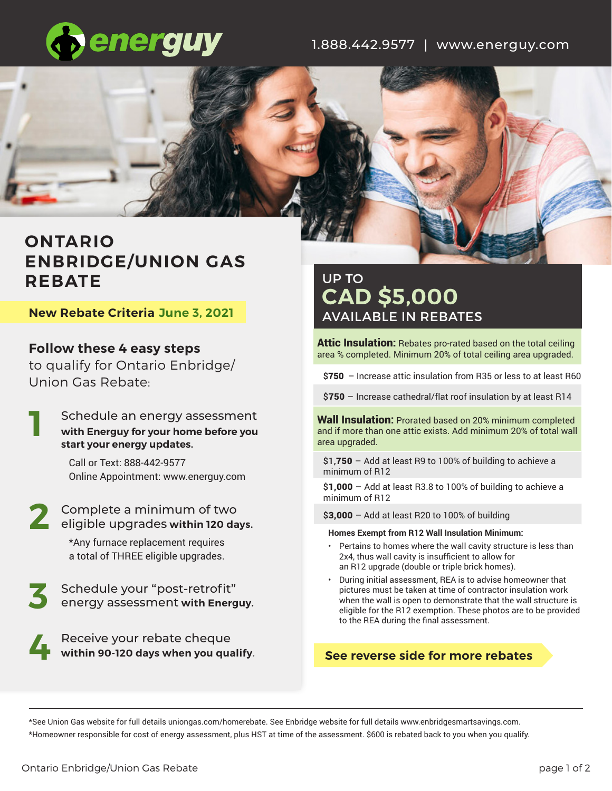

1.888.442.9577 | www.energuy.com



# **ONTARIO ENBRIDGE/UNION GAS REBATE**

**New Rebate Criteria June 3, 2021**

**Follow these 4 easy steps** to qualify for Ontario Enbridge/ Union Gas Rebate:

Schedule an energy assessment **with Energuy for your home before you start your energy updates. 1**

> Call or Text: 888-442-9577 Online Appointment: www.energuy.com

Complete a minimum of two 2 Complete a minimum of two<br>eligible upgrades within 120 days.

\*Any furnace replacement requires a total of THREE eligible upgrades.

Schedule your "post-retrofit" energy assessment **with Energuy. 3**

> Receive your rebate cheque **within 90-120 days when you qualify.**

# UP TO **CAD \$5,000**  AVAILABLE IN REBATES

**Attic Insulation:** Rebates pro-rated based on the total ceiling area % completed. Minimum 20% of total ceiling area upgraded.

\$750 – Increase attic insulation from R35 or less to at least R60

\$750 - Increase cathedral/flat roof insulation by at least R14

Wall Insulation**:** Prorated based on 20% minimum completed and if more than one attic exists. Add minimum 20% of total wall area upgraded.

 $$1,750 -$  Add at least R9 to 100% of building to achieve a minimum of R12

 $$1,000 -$  Add at least R3.8 to 100% of building to achieve a minimum of R12

\$3,000 - Add at least R20 to 100% of building

#### **Homes Exempt from R12 Wall Insulation Minimum:**

- Pertains to homes where the wall cavity structure is less than 2x4, thus wall cavity is insufficient to allow for an R12 upgrade (double or triple brick homes).
- During initial assessment, REA is to advise homeowner that pictures must be taken at time of contractor insulation work when the wall is open to demonstrate that the wall structure is eligible for the R12 exemption. These photos are to be provided to the REA during the final assessment.

## **See reverse side for more rebates**

\*See Union Gas website for full details uniongas.com/homerebate. See Enbridge website for full details www.enbridgesmartsavings.com. \*Homeowner responsible for cost of energy assessment, plus HST at time of the assessment. \$600 is rebated back to you when you qualify.

**4**